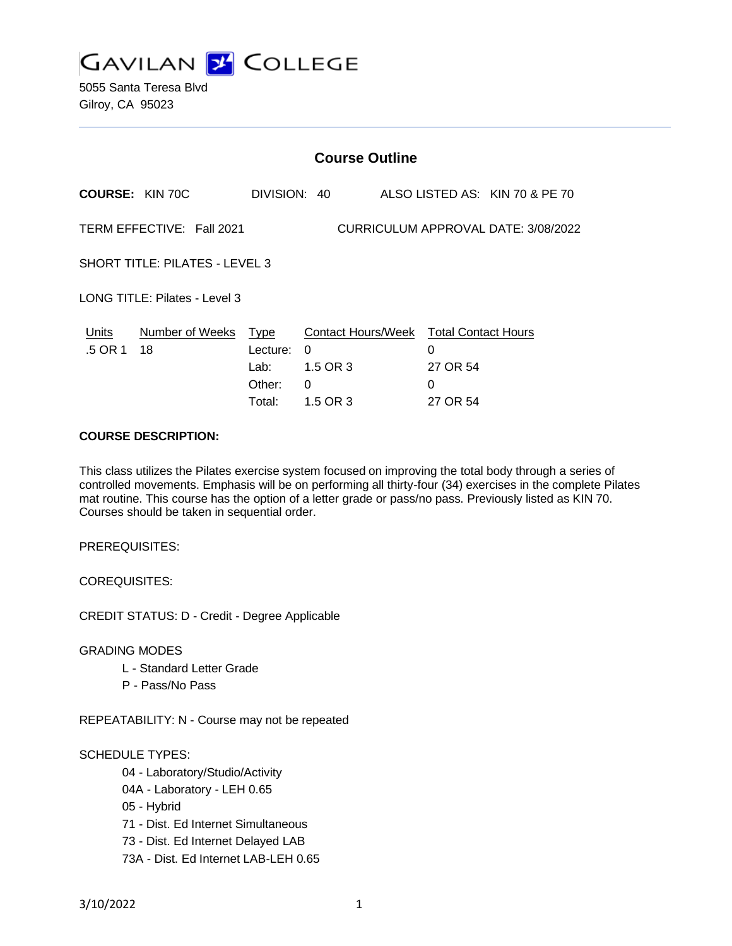

5055 Santa Teresa Blvd Gilroy, CA 95023

## **COURSE DESCRIPTION:**

This class utilizes the Pilates exercise system focused on improving the total body through a series of controlled movements. Emphasis will be on performing all thirty-four (34) exercises in the complete Pilates mat routine. This course has the option of a letter grade or pass/no pass. Previously listed as KIN 70. Courses should be taken in sequential order.

PREREQUISITES:

COREQUISITES:

CREDIT STATUS: D - Credit - Degree Applicable

GRADING MODES

- L Standard Letter Grade
- P Pass/No Pass

REPEATABILITY: N - Course may not be repeated

#### SCHEDULE TYPES:

- 04 Laboratory/Studio/Activity
- 04A Laboratory LEH 0.65
- 05 Hybrid
- 71 Dist. Ed Internet Simultaneous
- 73 Dist. Ed Internet Delayed LAB
- 73A Dist. Ed Internet LAB-LEH 0.65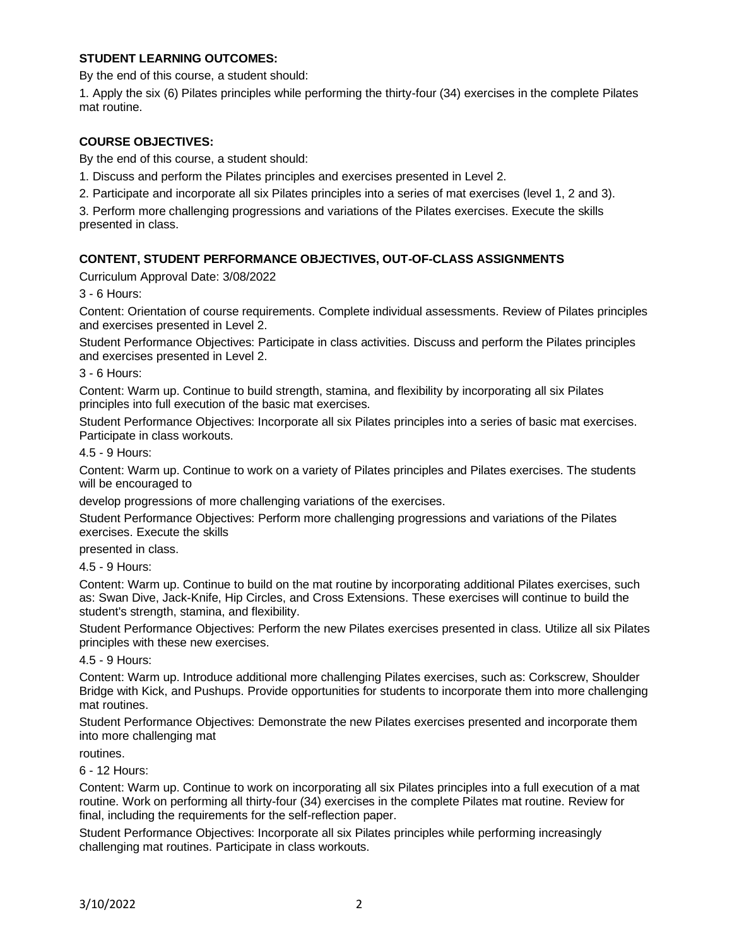## **STUDENT LEARNING OUTCOMES:**

By the end of this course, a student should:

1. Apply the six (6) Pilates principles while performing the thirty-four (34) exercises in the complete Pilates mat routine.

# **COURSE OBJECTIVES:**

By the end of this course, a student should:

1. Discuss and perform the Pilates principles and exercises presented in Level 2.

2. Participate and incorporate all six Pilates principles into a series of mat exercises (level 1, 2 and 3).

3. Perform more challenging progressions and variations of the Pilates exercises. Execute the skills presented in class.

# **CONTENT, STUDENT PERFORMANCE OBJECTIVES, OUT-OF-CLASS ASSIGNMENTS**

Curriculum Approval Date: 3/08/2022

3 - 6 Hours:

Content: Orientation of course requirements. Complete individual assessments. Review of Pilates principles and exercises presented in Level 2.

Student Performance Objectives: Participate in class activities. Discuss and perform the Pilates principles and exercises presented in Level 2.

3 - 6 Hours:

Content: Warm up. Continue to build strength, stamina, and flexibility by incorporating all six Pilates principles into full execution of the basic mat exercises.

Student Performance Objectives: Incorporate all six Pilates principles into a series of basic mat exercises. Participate in class workouts.

#### 4.5 - 9 Hours:

Content: Warm up. Continue to work on a variety of Pilates principles and Pilates exercises. The students will be encouraged to

develop progressions of more challenging variations of the exercises.

Student Performance Objectives: Perform more challenging progressions and variations of the Pilates exercises. Execute the skills

presented in class.

4.5 - 9 Hours:

Content: Warm up. Continue to build on the mat routine by incorporating additional Pilates exercises, such as: Swan Dive, Jack-Knife, Hip Circles, and Cross Extensions. These exercises will continue to build the student's strength, stamina, and flexibility.

Student Performance Objectives: Perform the new Pilates exercises presented in class. Utilize all six Pilates principles with these new exercises.

#### 4.5 - 9 Hours:

Content: Warm up. Introduce additional more challenging Pilates exercises, such as: Corkscrew, Shoulder Bridge with Kick, and Pushups. Provide opportunities for students to incorporate them into more challenging mat routines.

Student Performance Objectives: Demonstrate the new Pilates exercises presented and incorporate them into more challenging mat

routines.

6 - 12 Hours:

Content: Warm up. Continue to work on incorporating all six Pilates principles into a full execution of a mat routine. Work on performing all thirty-four (34) exercises in the complete Pilates mat routine. Review for final, including the requirements for the self-reflection paper.

Student Performance Objectives: Incorporate all six Pilates principles while performing increasingly challenging mat routines. Participate in class workouts.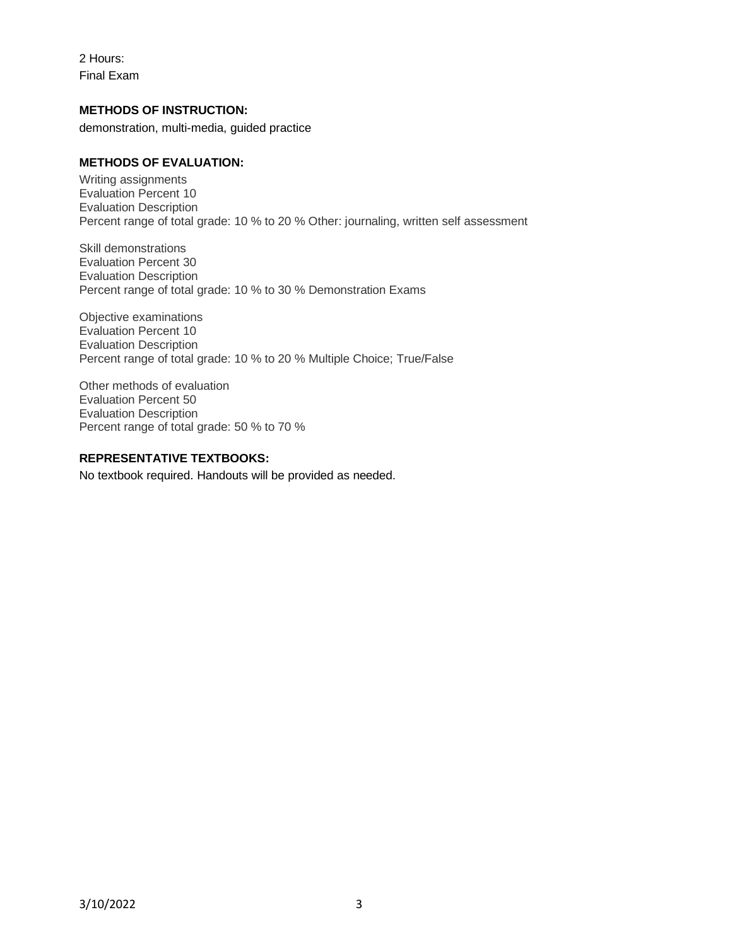2 Hours: Final Exam

## **METHODS OF INSTRUCTION:**

demonstration, multi-media, guided practice

## **METHODS OF EVALUATION:**

Writing assignments Evaluation Percent 10 Evaluation Description Percent range of total grade: 10 % to 20 % Other: journaling, written self assessment

Skill demonstrations Evaluation Percent 30 Evaluation Description Percent range of total grade: 10 % to 30 % Demonstration Exams

Objective examinations Evaluation Percent 10 Evaluation Description Percent range of total grade: 10 % to 20 % Multiple Choice; True/False

Other methods of evaluation Evaluation Percent 50 Evaluation Description Percent range of total grade: 50 % to 70 %

## **REPRESENTATIVE TEXTBOOKS:**

No textbook required. Handouts will be provided as needed.